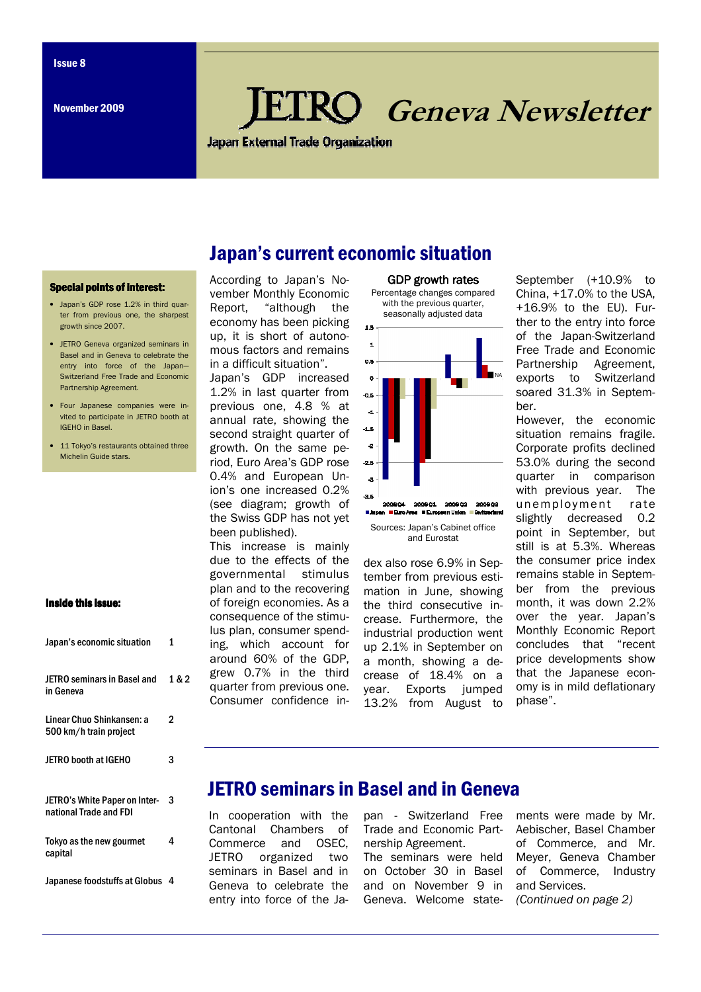# Geneva Newsletter

**Japan External Trade Organization** 

Japan's current economic situation

### **Special points of interest:**

- Japan's GDP rose 1.2% in third quarter from previous one, the sharpest growth since 2007.
- JETRO Geneva organized seminars in Basel and in Geneva to celebrate the entry into force of the Japan— Switzerland Free Trade and Economic Partnership Agreement.
- Four Japanese companies were invited to participate in JETRO booth at IGEHO in Basel.
- 11 Tokyo's restaurants obtained three Michelin Guide stars.

## Inside this issue:

| Japan's economic situation                              | 1     |
|---------------------------------------------------------|-------|
| JETRO seminars in Basel and<br>in Geneva                | 1 & 2 |
| Linear Chuo Shinkansen: a<br>500 km/h train project     | 2     |
| <b>JETRO booth at IGEHO</b>                             | 3     |
| JETRO's White Paper on Inter-<br>national Trade and FDI | 3     |
| Tokyo as the new gourmet<br>capital                     | 4     |
| Japanese foodstuffs at Globus                           | 4     |

### According to Japan's November Monthly Economic Report, "although the economy has been picking up, it is short of autonomous factors and remains in a difficult situation".

Japan's GDP increased 1.2% in last quarter from previous one, 4.8 % at annual rate, showing the second straight quarter of growth. On the same period, Euro Area's GDP rose 0.4% and European Union's one increased 0.2% (see diagram; growth of the Swiss GDP has not yet been published).

This increase is mainly due to the effects of the governmental stimulus plan and to the recovering of foreign economies. As a consequence of the stimulus plan, consumer spending, which account for around 60% of the GDP, grew 0.7% in the third quarter from previous one. Consumer confidence in-



GDP growth rates

Sources: Japan's Cabinet office and Eurostat

dex also rose 6.9% in September from previous estimation in June, showing the third consecutive increase. Furthermore, the industrial production went up 2.1% in September on a month, showing a decrease of 18.4% on a year. Exports jumped 13.2% from August to

September (+10.9% to China, +17.0% to the USA, +16.9% to the EU). Further to the entry into force of the Japan-Switzerland Free Trade and Economic Partnership Agreement, exports to Switzerland soared 31.3% in September.

However, the economic situation remains fragile. Corporate profits declined 53.0% during the second quarter in comparison with previous year. The unemployment rate slightly decreased 0.2 point in September, but still is at 5.3%. Whereas the consumer price index remains stable in September from the previous month, it was down 2.2% over the year. Japan's Monthly Economic Report concludes that "recent price developments show that the Japanese economy is in mild deflationary phase".

# JETRO seminars in Basel and in Geneva

In cooperation with the Cantonal Chambers of Commerce and OSEC, JETRO organized two seminars in Basel and in Geneva to celebrate the entry into force of the Ja-

pan - Switzerland Free Trade and Economic Partnership Agreement.

The seminars were held on October 30 in Basel and on November 9 in Geneva. Welcome statements were made by Mr. Aebischer, Basel Chamber of Commerce, and Mr. Meyer, Geneva Chamber of Commerce, Industry and Services. (Continued on page 2)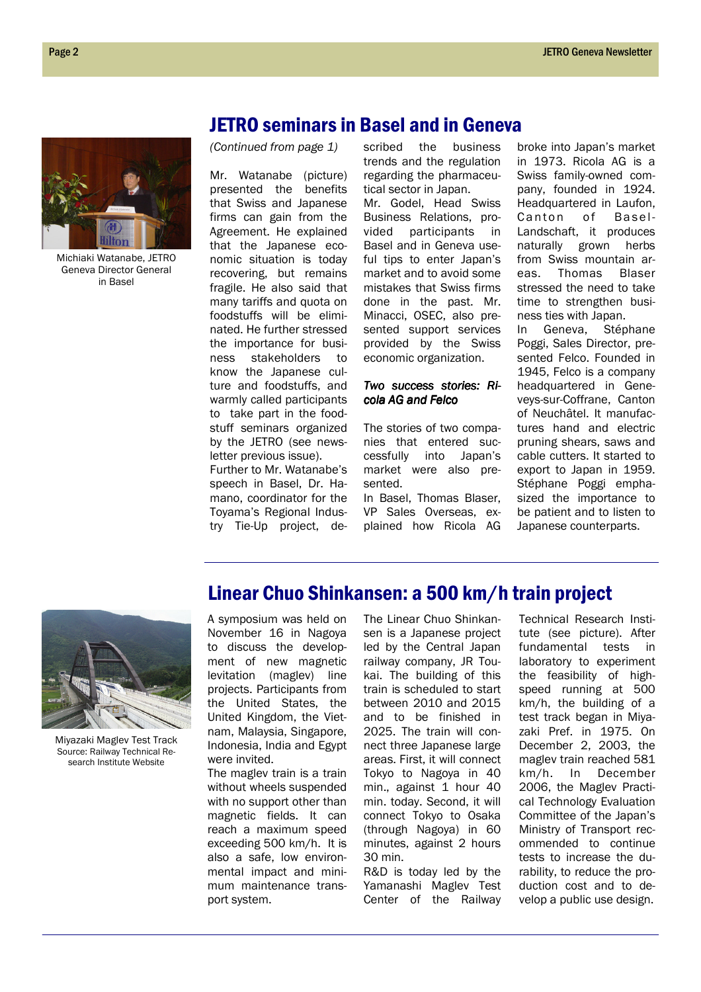

Michiaki Watanabe, JETRO Geneva Director General in Basel

(Continued from page 1)

Mr. Watanabe (picture) presented the benefits that Swiss and Japanese firms can gain from the Agreement. He explained that the Japanese economic situation is today recovering, but remains fragile. He also said that many tariffs and quota on foodstuffs will be eliminated. He further stressed the importance for business stakeholders to know the Japanese culture and foodstuffs, and warmly called participants to take part in the foodstuff seminars organized by the JETRO (see newsletter previous issue).

Further to Mr. Watanabe's speech in Basel, Dr. Hamano, coordinator for the Toyama's Regional Industry Tie-Up project, de-

scribed the business trends and the regulation regarding the pharmaceutical sector in Japan.

Mr. Godel, Head Swiss Business Relations, provided participants in Basel and in Geneva useful tips to enter Japan's market and to avoid some mistakes that Swiss firms done in the past. Mr. Minacci, OSEC, also presented support services provided by the Swiss economic organization.

### Two success stories: Ricola AG and Felco

The stories of two companies that entered successfully into Japan's market were also presented.

In Basel, Thomas Blaser, VP Sales Overseas, explained how Ricola AG

Linear Chuo Shinkansen: a 500 km/h train project

broke into Japan's market in 1973. Ricola AG is a Swiss family-owned company, founded in 1924. Headquartered in Laufon, Canton of Basel-Landschaft, it produces naturally grown herbs from Swiss mountain areas. Thomas Blaser stressed the need to take time to strengthen business ties with Japan.

In Geneva, Stéphane Poggi, Sales Director, presented Felco. Founded in 1945, Felco is a company headquartered in Geneveys-sur-Coffrane, Canton of Neuchâtel. It manufactures hand and electric pruning shears, saws and cable cutters. It started to export to Japan in 1959. Stéphane Poggi emphasized the importance to be patient and to listen to Japanese counterparts.



Miyazaki Maglev Test Track Source: Railway Technical Research Institute Website

### A symposium was held on November 16 in Nagoya to discuss the development of new magnetic levitation (maglev) line projects. Participants from the United States, the United Kingdom, the Vietnam, Malaysia, Singapore, Indonesia, India and Egypt were invited.

The maglev train is a train without wheels suspended with no support other than magnetic fields. It can reach a maximum speed exceeding 500 km/h. It is also a safe, low environmental impact and minimum maintenance transport system.

The Linear Chuo Shinkansen is a Japanese project led by the Central Japan railway company, JR Toukai. The building of this train is scheduled to start between 2010 and 2015 and to be finished in 2025. The train will connect three Japanese large areas. First, it will connect Tokyo to Nagoya in 40 min., against 1 hour 40 min. today. Second, it will connect Tokyo to Osaka (through Nagoya) in 60 minutes, against 2 hours 30 min.

R&D is today led by the Yamanashi Maglev Test Center of the Railway Technical Research Institute (see picture). After fundamental tests in laboratory to experiment the feasibility of highspeed running at 500 km/h, the building of a test track began in Miyazaki Pref. in 1975. On December 2, 2003, the maglev train reached 581 km/h. In December 2006, the Maglev Practical Technology Evaluation Committee of the Japan's Ministry of Transport recommended to continue tests to increase the durability, to reduce the production cost and to develop a public use design.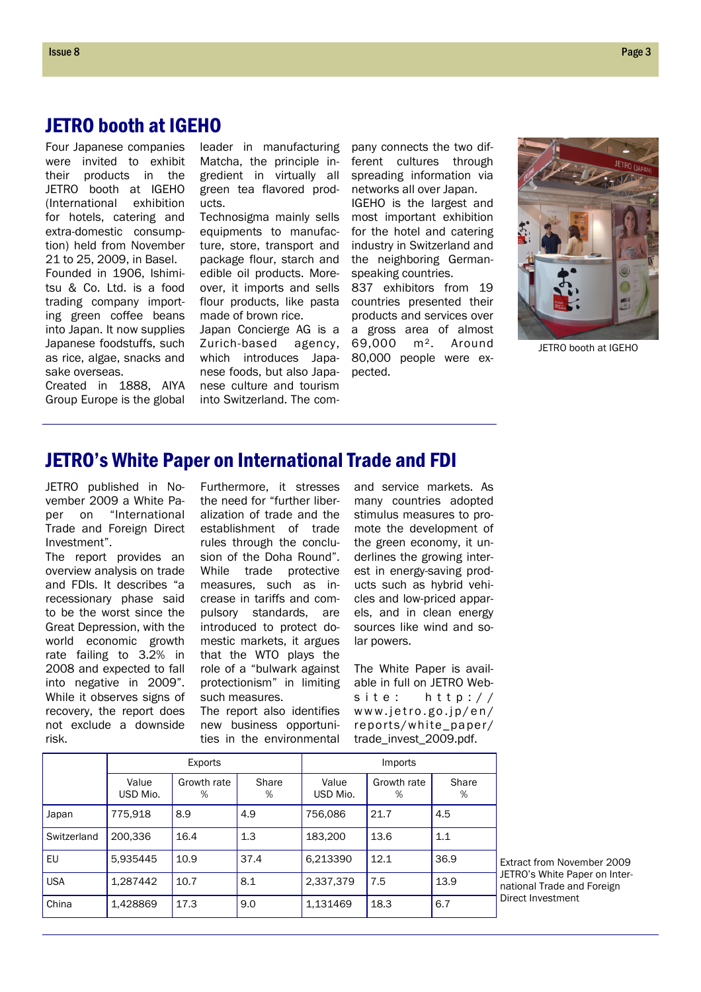Four Japanese companies were invited to exhibit their products in the JETRO booth at IGEHO (International exhibition for hotels, catering and extra-domestic consumption) held from November 21 to 25, 2009, in Basel. Founded in 1906, Ishimitsu & Co. Ltd. is a food trading company importing green coffee beans into Japan. It now supplies Japanese foodstuffs, such as rice, algae, snacks and sake overseas.

Created in 1888, AIYA Group Europe is the global leader in manufacturing Matcha, the principle ingredient in virtually all green tea flavored products.

Technosigma mainly sells equipments to manufacture, store, transport and package flour, starch and edible oil products. Moreover, it imports and sells flour products, like pasta made of brown rice.

Japan Concierge AG is a Zurich-based agency, which introduces Japanese foods, but also Japanese culture and tourism into Switzerland. The com-

pany connects the two different cultures through spreading information via networks all over Japan.

IGEHO is the largest and most important exhibition for the hotel and catering industry in Switzerland and the neighboring Germanspeaking countries.

837 exhibitors from 19 countries presented their products and services over a gross area of almost 69,000 m². Around 80,000 people were expected.



JETRO booth at IGEHO

# JETRO's White Paper on International Trade and FDI

JETRO published in November 2009 a White Paper on "International Trade and Foreign Direct Investment".

The report provides an overview analysis on trade and FDIs. It describes "a recessionary phase said to be the worst since the Great Depression, with the world economic growth rate failing to 3.2% in 2008 and expected to fall into negative in 2009". While it observes signs of recovery, the report does not exclude a downside risk.

Furthermore, it stresses the need for "further liberalization of trade and the establishment of trade rules through the conclusion of the Doha Round". While trade protective measures, such as increase in tariffs and compulsory standards, are introduced to protect domestic markets, it argues that the WTO plays the role of a "bulwark against protectionism" in limiting such measures.

The report also identifies new business opportunities in the environmental and service markets. As many countries adopted stimulus measures to promote the development of the green economy, it underlines the growing interest in energy-saving products such as hybrid vehicles and low-priced apparels, and in clean energy sources like wind and solar powers.

The White Paper is available in full on JETRO Website:  $h \text{ ttp}$ :// www.jetro.go.jp/en/ reports/white\_paper/ trade\_invest\_2009.pdf.

|             | Exports           |                  |            | Imports           |                  |            |
|-------------|-------------------|------------------|------------|-------------------|------------------|------------|
|             | Value<br>USD Mio. | Growth rate<br>% | Share<br>% | Value<br>USD Mio. | Growth rate<br>% | Share<br>% |
| Japan       | 775,918           | 8.9              | 4.9        | 756,086           | 21.7             | 4.5        |
| Switzerland | 200,336           | 16.4             | 1.3        | 183,200           | 13.6             | 1.1        |
| EU          | 5,935445          | 10.9             | 37.4       | 6,213390          | 12.1             | 36.9       |
| <b>USA</b>  | 1,287442          | 10.7             | 8.1        | 2,337,379         | 7.5              | 13.9       |
| China       | 1,428869          | 17.3             | 9.0        | 1,131469          | 18.3             | 6.7        |

Extract from November 2009 JETRO's White Paper on International Trade and Foreign Direct Investment